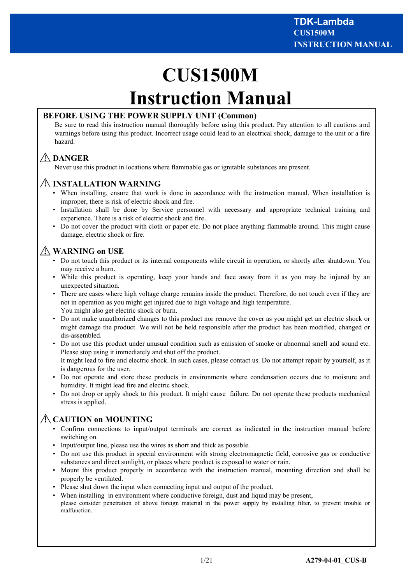# **CUS1500M Instruction Manual**

# **BEFORE USING THE POWER SUPPLY UNIT (Common)**

Be sure to read this instruction manual thoroughly before using this product. Pay attention to all cautions and warnings before using this product. Incorrect usage could lead to an electrical shock, damage to the unit or a fire hazard.

# **DANGER**

Never use this product in locations where flammable gas or ignitable substances are present.

# **INSTALLATION WARNING**

- When installing, ensure that work is done in accordance with the instruction manual. When installation is improper, there is risk of electric shock and fire.
- Installation shall be done by Service personnel with necessary and appropriate technical training and experience. There is a risk of electric shock and fire.
- Do not cover the product with cloth or paper etc. Do not place anything flammable around. This might cause damage, electric shock or fire.

# **WARNING on USE**

- Do not touch this product or its internal components while circuit in operation, or shortly after shutdown. You may receive a burn.
- While this product is operating, keep your hands and face away from it as you may be injured by an unexpected situation.
- There are cases where high voltage charge remains inside the product. Therefore, do not touch even if they are not in operation as you might get injured due to high voltage and high temperature. You might also get electric shock or burn.
- Do not make unauthorized changes to this product nor remove the cover as you might get an electric shock or might damage the product. We will not be held responsible after the product has been modified, changed or dis-assembled.
- Do not use this product under unusual condition such as emission of smoke or abnormal smell and sound etc. Please stop using it immediately and shut off the product.

It might lead to fire and electric shock. In such cases, please contact us. Do not attempt repair by yourself, as it is dangerous for the user.

- Do not operate and store these products in environments where condensation occurs due to moisture and humidity. It might lead fire and electric shock.
- Do not drop or apply shock to this product. It might cause failure. Do not operate these products mechanical stress is applied.

# **CAUTION on MOUNTING**

- Confirm connections to input/output terminals are correct as indicated in the instruction manual before switching on.
- Input/output line, please use the wires as short and thick as possible.
- Do not use this product in special environment with strong electromagnetic field, corrosive gas or conductive substances and direct sunlight, or places where product is exposed to water or rain.
- Mount this product properly in accordance with the instruction manual, mounting direction and shall be properly be ventilated.
- Please shut down the input when connecting input and output of the product.
- When installing in environment where conductive foreign, dust and liquid may be present, please consider penetration of above foreign material in the power supply by installing filter, to prevent trouble or malfunction.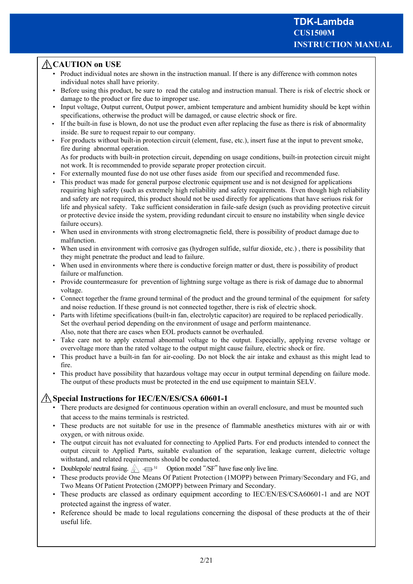# **CAUTION on USE**

- Product individual notes are shown in the instruction manual. If there is any difference with common notes individual notes shall have priority.
- Before using this product, be sure to read the catalog and instruction manual. There is risk of electric shock or damage to the product or fire due to improper use.
- Input voltage, Output current, Output power, ambient temperature and ambient humidity should be kept within specifications, otherwise the product will be damaged, or cause electric shock or fire.
- If the built-in fuse is blown, do not use the product even after replacing the fuse as there is risk of abnormality inside. Be sure to request repair to our company.
- For products without built-in protection circuit (element, fuse, etc.), insert fuse at the input to prevent smoke, fire during abnormal operation.

As for products with built-in protection circuit, depending on usage conditions, built-in protection circuit might not work. It is recommended to provide separate proper protection circuit.

- For externally mounted fuse do not use other fuses aside from our specified and recommended fuse.
- This product was made for general purpose electronic equipment use and is not designed for applications requiring high safety (such as extremely high reliability and safety requirements. Even though high reliability and safety are not required, this product should not be used directly for applications that have seriuos risk for life and physical safety. Take sufficient consideration in faile-safe design (such as providing protective circuit or protective device inside the system, providing redundant circuit to ensure no instability when single device failure occurs).
- When used in environments with strong electromagnetic field, there is possibility of product damage due to malfunction.
- When used in environment with corrosive gas (hydrogen sulfide, sulfur dioxide, etc.), there is possibility that they might penetrate the product and lead to failure.
- When used in environments where there is conductive foreign matter or dust, there is possibility of product failure or malfunction.
- Provide countermeasure for prevention of lightning surge voltage as there is risk of damage due to abnormal voltage.
- Connect together the frame ground terminal of the product and the ground terminal of the equipment for safety and noise reduction. If these ground is not connected together, there is risk of electric shock.
- Parts with lifetime specifications (built-in fan, electrolytic capacitor) are required to be replaced periodically. Set the overhaul period depending on the environment of usage and perform maintenance. Also, note that there are cases when EOL products cannot be overhauled.
- Take care not to apply external abnormal voltage to the output. Especially, applying reverse voltage or overvoltage more than the rated voltage to the output might cause failure, electric shock or fire.
- This product have a built-in fan for air-cooling. Do not block the air intake and exhaust as this might lead to fire.
- This product have possibility that hazardous voltage may occur in output terminal depending on failure mode. The output of these products must be protected in the end use equipment to maintain SELV.

# **Special Instructions for IEC/EN/ES/CSA 60601-1**

- There products are designed for continuous operation within an overall enclosure, and must be mounted such that access to the mains terminals is restricted.
- These products are not suitable for use in the presence of flammable anesthetics mixtures with air or with oxygen, or with nitrous oxide.
- The output circuit has not evaluated for connecting to Applied Parts. For end products intended to connect the output circuit to Applied Parts, suitable evaluation of the separation, leakage current, dielectric voltage withstand, and related requirements should be conducted.
- Doublepole/ neutral fusing.  $\mathbb{A} \iff$  Option model "/SF" have fuse only live line.
- These products provide One Means Of Patient Protection (1MOPP) between Primary/Secondary and FG, and Two Means Of Patient Protection (2MOPP) between Primary and Secondary.
- These products are classed as ordinary equipment according to IEC/EN/ES/CSA60601-1 and are NOT protected against the ingress of water.
- Reference should be made to local regulations concerning the disposal of these products at the of their useful life.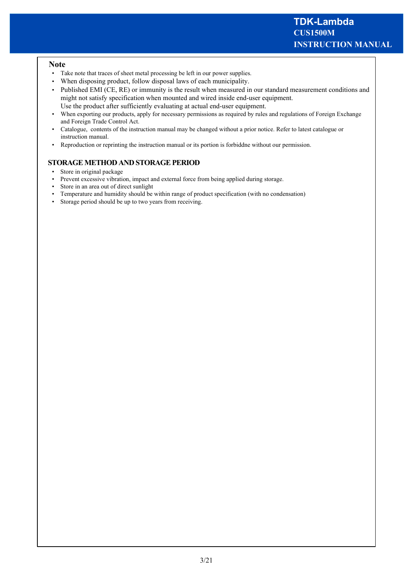#### **Note**

- Take note that traces of sheet metal processing be left in our power supplies.
- When disposing product, follow disposal laws of each municipality.
- Published EMI (CE, RE) or immunity is the result when measured in our standard measurement conditions and might not satisfy specification when mounted and wired inside end-user equipment. Use the product after sufficiently evaluating at actual end-user equipment.
- When exporting our products, apply for necessary permissions as required by rules and regulations of Foreign Exchange and Foreign Trade Control Act.
- Catalogue, contents of the instruction manual may be changed without a prior notice. Refer to latest catalogue or instruction manual.
- Reproduction or reprinting the instruction manual or its portion is forbiddne without our permission.

## **STORAGE METHOD AND STORAGE PERIOD**

- Store in original package
- Prevent excessive vibration, impact and external force from being applied during storage.
- Store in an area out of direct sunlight
- Temperature and humidity should be within range of product specification (with no condensation)
- Storage period should be up to two years from receiving.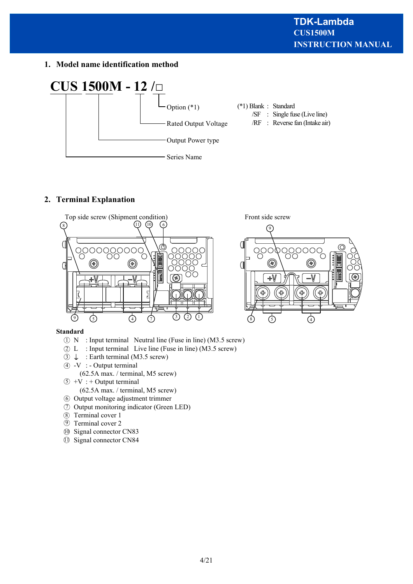**1. Model name identification method**



# **2. Terminal Explanation**



## **Standard**

- D N : Input terminal Neutral line (Fuse in line) (M3.5 screw)
- 2) L : Input terminal Live line (Fuse in line) (M3.5 screw)
- $\textcircled{3} \perp$  : Earth terminal (M3.5 screw)
- $\overline{4}$  -V : Output terminal
	- (62.5A max. / terminal, M5 screw)
- $5 + V$  : + Output terminal
	- (62.5A max. / terminal, M5 screw)
- **6** Output voltage adjustment trimmer Output monitoring indicator (Green LED) 7
- Terminal cover 1 8
- Terminal cover 2 9
- Signal connector CN83 10
- **1** Signal connector CN84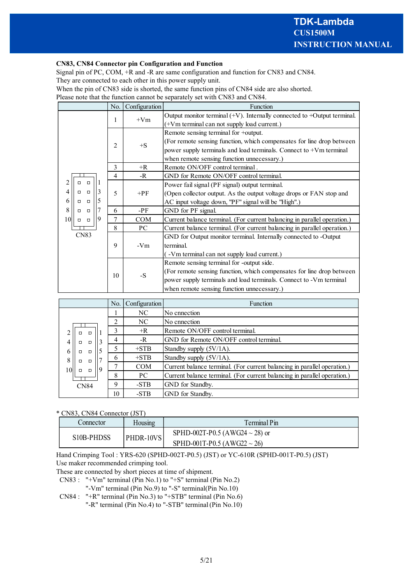#### **CN83, CN84 Connector pin Configuration and Function**

Signal pin of PC, COM, +R and -R are same configuration and function for CN83 and CN84. They are connected to each other in this power supply unit.

When the pin of CN83 side is shorted, the same function pins of CN84 side are also shorted.

Please note that the function cannot be separately set with CN83 and CN84.

|                                          | No. | Configuration | Function                                                                      |  |  |
|------------------------------------------|-----|---------------|-------------------------------------------------------------------------------|--|--|
| 1                                        |     |               | Output monitor terminal $(+V)$ . Internally connected to $+$ Output terminal. |  |  |
|                                          |     | $+Vm$         | (+Vm terminal can not supply load current.)                                   |  |  |
|                                          |     |               | Remote sensing terminal for +output.                                          |  |  |
|                                          | 2   | $+S$          | (For remote sensing function, which compensates for line drop between         |  |  |
|                                          |     |               | power supply terminals and load terminals. Connect to +Vm terminal            |  |  |
|                                          |     |               | when remote sensing function unnecessary.)                                    |  |  |
|                                          | 3   | $+R$          | Remote ON/OFF control terminal.                                               |  |  |
|                                          | 4   | -R            | GND for Remote ON/OFF control terminal.                                       |  |  |
| $\Box$<br>$\Box$                         |     |               | Power fail signal (PF signal) output terminal.                                |  |  |
| 3<br>4<br>$\Box$<br>□                    | 5   | $+PF$         | (Open collector output. As the output voltage drops or FAN stop and           |  |  |
| 5<br>6<br>$\Box$<br>п                    |     |               | AC input voltage down, "PF" signal will be "High".)                           |  |  |
| 8<br>$\Box$<br>$\Box$                    | 6   | -PF           | GND for PF signal.                                                            |  |  |
| 9<br>10 <sup>l</sup><br>$\Box$<br>$\Box$ | 7   | COM           | Current balance terminal. (For current balancing in parallel operation.)      |  |  |
|                                          | 8   | PC            | Current balance terminal. (For current balancing in parallel operation.)      |  |  |
| CN83                                     |     |               | GND for Output monitor terminal. Internally connected to -Output              |  |  |
|                                          | 9   | $-Vm$         | terminal.                                                                     |  |  |
|                                          |     |               | (-Vm terminal can not supply load current.)                                   |  |  |
|                                          |     | $-S$          | Remote sensing terminal for -output side.                                     |  |  |
|                                          | 10  |               | (For remote sensing function, which compensates for line drop between         |  |  |
|                                          |     |               | power supply terminals and load terminals. Connect to -Vm terminal            |  |  |
|                                          |     |               | when remote sensing function unnecessary.)                                    |  |  |

|                             | No. | Configuration | Function                                                                 |  |
|-----------------------------|-----|---------------|--------------------------------------------------------------------------|--|
|                             |     | NC            | No cnnection                                                             |  |
|                             | 2   | NC            | No cnnection                                                             |  |
| $\Box$<br>о                 | 3   | $+R$          | Remote ON/OFF control terminal.                                          |  |
| $\Box$<br>П                 | 4   | $-R$          | GND for Remote ON/OFF control terminal.                                  |  |
| 6<br>$\Box$<br>П            |     | $+STB$        | Standby supply $(5V/1A)$ .                                               |  |
| 8<br>$\Box$<br>$\Box$       | 6   | $+STB$        | Standby supply (5V/1A).                                                  |  |
| 9<br>10<br>$\Box$<br>$\Box$ |     | <b>COM</b>    | Current balance terminal. (For current balancing in parallel operation.) |  |
|                             | 8   | PC.           | Current balance terminal. (For current balancing in parallel operation.) |  |
| <b>CN84</b>                 | 9   | -STB          | GND for Standby.                                                         |  |
|                             | 10  | -STB          | GND for Standby.                                                         |  |

\* CN83, CN84 Connector (JST)

| Connector  | Housmg    | Ferminal Pin                        |  |
|------------|-----------|-------------------------------------|--|
| S10B-PHDSS |           | SPHD-002T-P0.5 (AWG24 $\sim$ 28) or |  |
|            | PHDR-10VS | SPHD-001T-P0.5 (AWG22 $\sim$ 26)    |  |

Hand Crimping Tool : YRS-620 (SPHD-002T-P0.5) (JST) or YC-610R (SPHD-001T-P0.5) (JST) Use maker recommended crimping tool.

These are connected by short pieces at time of shipment.

 CN83 : "+Vm" terminal (Pin No.1) to "+S" terminal (Pin No.2) "-Vm" terminal (Pin No.9) to "-S" terminal(Pin No.10)

 CN84 : "+R" terminal (Pin No.3) to "+STB" terminal (Pin No.6) "-R" terminal (Pin No.4) to "-STB" terminal (Pin No.10)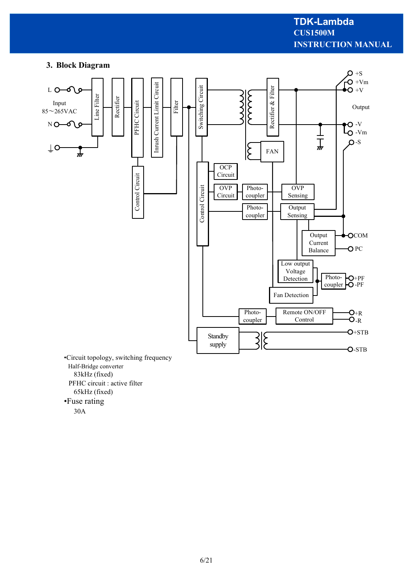# **INSTRUCTION MANUAL CUS1500M TDK-Lambda**

# **3. Block Diagram**



Half-Bridge converter 83kHz (fixed) PFHC circuit : active filter 65kHz (fixed) •Fuse rating

30A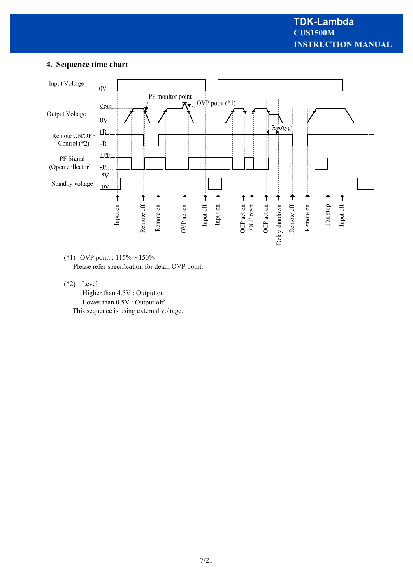# **4. Sequence time chart**



(\*1) OVP point : 115%~150% Please refer specification for detail OVP point.

(\*2) Level

 Higher than 4.5V : Output on Lower than 0.5V : Output off This sequence is using external voltage.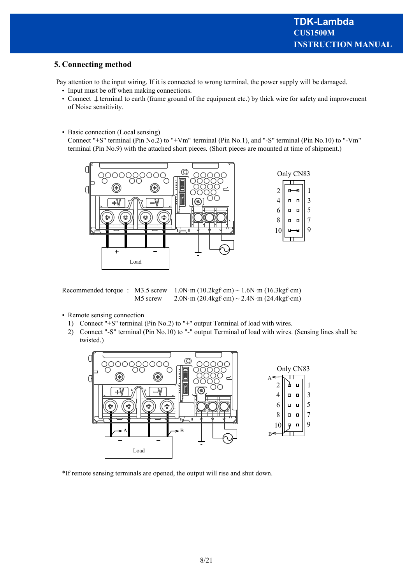# **5. Connecting method**

Pay attention to the input wiring. If it is connected to wrong terminal, the power supply will be damaged.

- Input must be off when making connections.
- Connect  $\downarrow$  terminal to earth (frame ground of the equipment etc.) by thick wire for safety and improvement of Noise sensitivity.
- Basic connection (Local sensing)

 Connect "+S" terminal (Pin No.2) to "+Vm" terminal (Pin No.1), and "-S" terminal (Pin No.10) to "-Vm" terminal (Pin No.9) with the attached short pieces. (Short pieces are mounted at time of shipment.)



Recommended torque : M3.5 screw  $1.0N \cdot m (10.2kgf \cdot cm) \sim 1.6N \cdot m (16.3kgf \cdot cm)$ M5 screw 2.0N·m (20.4kgf·cm) ~ 2.4N·m (24.4kgf·cm)

- Remote sensing connection
	- 1) Connect "+S" terminal (Pin No.2) to "+" output Terminal of load with wires.
	- 2) Connect "-S" terminal (Pin No.10) to "-" output Terminal of load with wires. (Sensing lines shall be twisted.)



\*If remote sensing terminals are opened, the output will rise and shut down.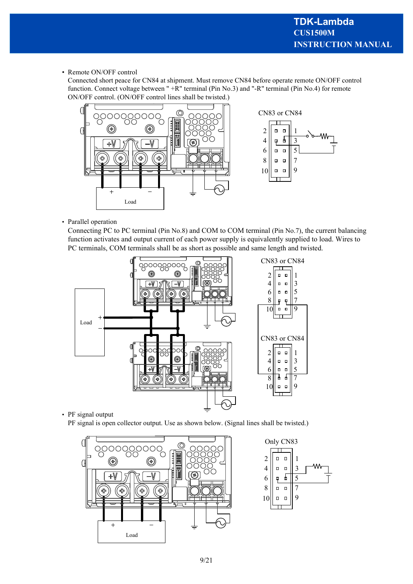• Remote ON/OFF control

Connected short peace for CN84 at shipment. Must remove CN84 before operate remote ON/OFF control function. Connect voltage between " +R" terminal (Pin No.3) and "-R" terminal (Pin No.4) for remote ON/OFF control. (ON/OFF control lines shall be twisted.)



• Parallel operation

Connecting PC to PC terminal (Pin No.8) and COM to COM terminal (Pin No.7), the current balancing function activates and output current of each power supply is equivalently supplied to load. Wires to PC terminals, COM terminals shall be as short as possible and same length and twisted.



• PF signal output

PF signal is open collector output. Use as shown below. (Signal lines shall be twisted.)



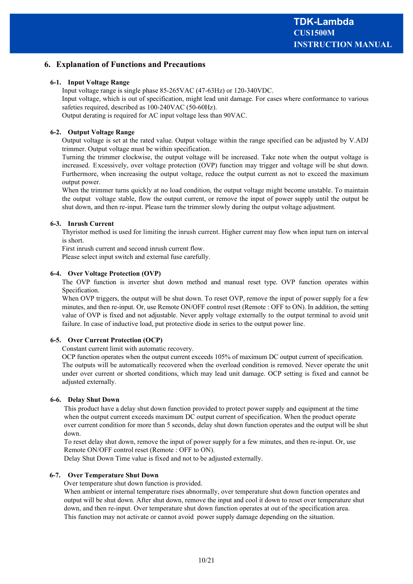## **6. Explanation of Functions and Precautions**

#### **6-1. Input Voltage Range**

Input voltage range is single phase 85-265VAC (47-63Hz) or 120-340VDC.

Input voltage, which is out of specification, might lead unit damage. For cases where conformance to various safeties required, described as 100-240VAC (50-60Hz).

Output derating is required for AC input voltage less than 90VAC.

#### **6-2. Output Voltage Range**

Output voltage is set at the rated value. Output voltage within the range specified can be adjusted by V.ADJ trimmer. Output voltage must be within specification.

Turning the trimmer clockwise, the output voltage will be increased. Take note when the output voltage is increased. Excessively, over voltage protection (OVP) function may trigger and voltage will be shut down. Furthermore, when increasing the output voltage, reduce the output current as not to exceed the maximum output power.

When the trimmer turns quickly at no load condition, the output voltage might become unstable. To maintain the output voltage stable, flow the output current, or remove the input of power supply until the output be shut down, and then re-input. Please turn the trimmer slowly during the output voltage adjustment.

#### **6-3. Inrush Current**

Thyristor method is used for limiting the inrush current. Higher current may flow when input turn on interval is short.

First inrush current and second inrush current flow.

Please select input switch and external fuse carefully.

#### **6-4. Over Voltage Protection (OVP)**

The OVP function is inverter shut down method and manual reset type. OVP function operates within Specification.

When OVP triggers, the output will be shut down. To reset OVP, remove the input of power supply for a few minutes, and then re-input. Or, use Remote ON/OFF control reset (Remote : OFF to ON). In addition, the setting value of OVP is fixed and not adjustable. Never apply voltage externally to the output terminal to avoid unit failure. In case of inductive load, put protective diode in series to the output power line.

#### **6-5. Over Current Protection (OCP)**

Constant current limit with automatic recovery.

OCP function operates when the output current exceeds 105% of maximum DC output current of specification. The outputs will be automatically recovered when the overload condition is removed. Never operate the unit under over current or shorted conditions, which may lead unit damage. OCP setting is fixed and cannot be adjusted externally.

#### **6-6. Delay Shut Down**

This product have a delay shut down function provided to protect power supply and equipment at the time when the output current exceeds maximum DC output current of specification. When the product operate over current condition for more than 5 seconds, delay shut down function operates and the output will be shut down.

To reset delay shut down, remove the input of power supply for a few minutes, and then re-input. Or, use Remote ON/OFF control reset (Remote : OFF to ON).

Delay Shut Down Time value is fixed and not to be adjusted externally.

#### **6-7. Over Temperature Shut Down**

Over temperature shut down function is provided.

When ambient or internal temperature rises abnormally, over temperature shut down function operates and output will be shut down. After shut down, remove the input and cool it down to reset over temperature shut down, and then re-input. Over temperature shut down function operates at out of the specification area. This function may not activate or cannot avoid power supply damage depending on the situation.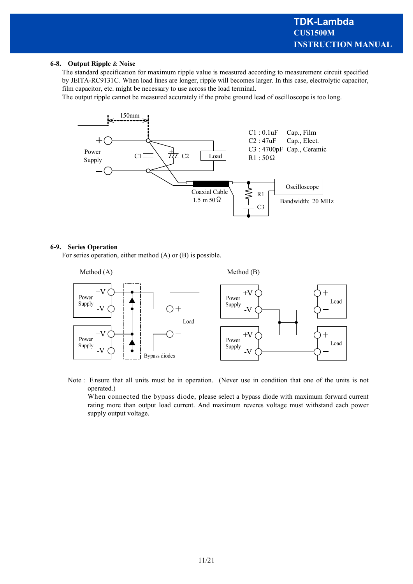#### **6-8. Output Ripple** & **Noise**

The standard specification for maximum ripple value is measured according to measurement circuit specified by JEITA-RC9131C. When load lines are longer, ripple will becomes larger. In this case, electrolytic capacitor, film capacitor, etc. might be necessary to use across the load terminal.

The output ripple cannot be measured accurately if the probe ground lead of oscilloscope is too long.



#### **6-9. Series Operation**

For series operation, either method (A) or (B) is possible.



Note : E nsure that all units must be in operation. (Never use in condition that one of the units is not operated.)

When connected the bypass diode, please select a bypass diode with maximum forward current rating more than output load current. And maximum reveres voltage must withstand each power supply output voltage.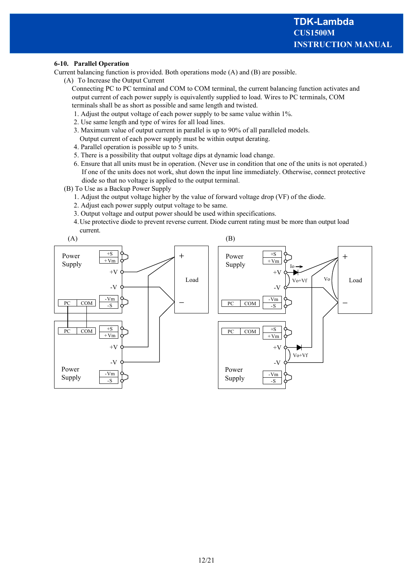#### **6-10. Parallel Operation**

Current balancing function is provided. Both operations mode (A) and (B) are possible.

(A) To Increase the Output Current

Connecting PC to PC terminal and COM to COM terminal, the current balancing function activates and output current of each power supply is equivalently supplied to load. Wires to PC terminals, COM terminals shall be as short as possible and same length and twisted.

- 1. Adjust the output voltage of each power supply to be same value within 1%.
- 2. Use same length and type of wires for all load lines.
- 3. Maximum value of output current in parallel is up to 90% of all paralleled models. Output current of each power supply must be within output derating.
- 4. Parallel operation is possible up to 5 units.
- 5. There is a possibility that output voltage dips at dynamic load change.
- 6. Ensure that all units must be in operation. (Never use in condition that one of the units is not operated.) If one of the units does not work, shut down the input line immediately. Otherwise, connect protective diode so that no voltage is applied to the output terminal.
- (B) To Use as a Backup Power Supply
	- 1. Adjust the output voltage higher by the value of forward voltage drop (VF) of the diode.
	- 2. Adjust each power supply output voltage to be same.
	- 3. Output voltage and output power should be used within specifications.
	- 4.Use protective diode to prevent reverse current. Diode current rating must be more than output load current.

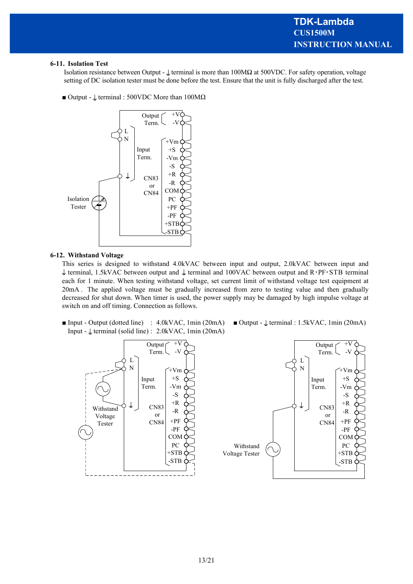#### **6-11. Isolation Test**

Isolation resistance between Output -  $\perp$  terminal is more than 100M $\Omega$  at 500VDC. For safety operation, voltage setting of DC isolation tester must be done before the test. Ensure that the unit is fully discharged after the test.

 $\blacksquare$  Output -  $\downarrow$  terminal : 500VDC More than 100M $\Omega$ 



#### **6-12. Withstand Voltage**

This series is designed to withstand 4.0kVAC between input and output, 2.0kVAC between input and  $\frac{1}{2}$  terminal, 1.5kVAC between output and  $\frac{1}{2}$  terminal and 100VAC between output and R·PF·STB terminal each for 1 minute. When testing withstand voltage, set current limit of withstand voltage test equipment at 20mA . The applied voltage must be gradually increased from zero to testing value and then gradually decreased for shut down. When timer is used, the power supply may be damaged by high impulse voltage at switch on and off timing. Connection as follows.

**Input - Output (dotted line)** : 4.0kVAC, 1min (20mA) **II** Output -  $\downarrow$  terminal : 1.5kVAC, 1min (20mA) Input -  $\perp$  terminal (solid line) : 2.0kVAC, 1min (20mA)

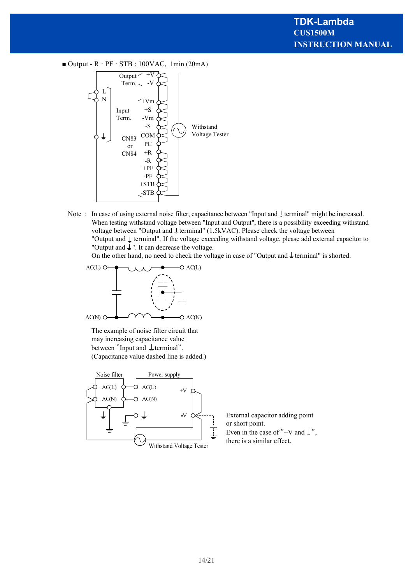$\blacksquare$  Output - R · PF · STB : 100VAC, 1min (20mA)



Note : In case of using external noise filter, capacitance between "Input and  $\downarrow$  terminal" might be increased. When testing withstand voltage between "Input and Output", there is a possibility exceeding withstand voltage between "Output and  $\text{\ensuremath{\downarrow}}$  terminal" (1.5kVAC). Please check the voltage between "Output and  $\perp$  terminal". If the voltage exceeding withstand voltage, please add external capacitor to "Output and  $\downarrow$ ". It can decrease the voltage.

On the other hand, no need to check the voltage in case of "Output and  $\frac{1}{\epsilon}$  terminal" is shorted.



The example of noise filter circuit that may increasing capacitance value between "Input and  $\perp$  terminal". (Capacitance value dashed line is added.)



External capacitor adding point or short point. Even in the case of "+V and  $\downarrow$ ",

there is a similar effect.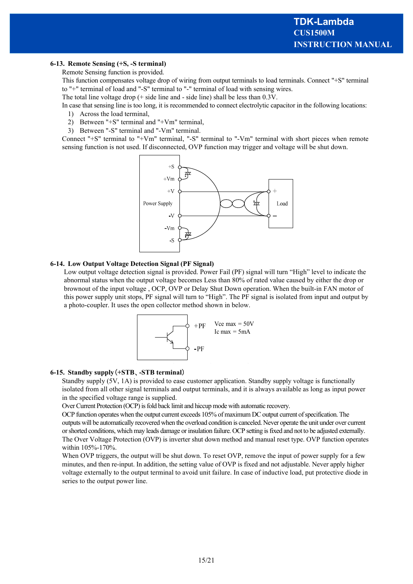#### **6-13. Remote Sensing (+S, -S terminal)**

Remote Sensing function is provided.

This function compensates voltage drop of wiring from output terminals to load terminals. Connect "+S" terminal to "+" terminal of load and "-S" terminal to "-" terminal of load with sensing wires.

The total line voltage drop (+ side line and - side line) shall be less than 0.3V.

In case that sensing line is too long, it is recommended to connect electrolytic capacitor in the following locations:

- 1) Across the load terminal,
- 2) Between "+S" terminal and "+Vm" terminal,
- 3) Between "-S" terminal and "-Vm" terminal.

Connect "+S" terminal to "+Vm" terminal, "-S" terminal to "-Vm" terminal with short pieces when remote sensing function is not used. If disconnected, OVP function may trigger and voltage will be shut down.



#### **6-14. Low Output Voltage Detection Signal (PF Signal)**

Low output voltage detection signal is provided. Power Fail (PF) signal will turn "High" level to indicate the abnormal status when the output voltage becomes Less than 80% of rated value caused by either the drop or brownout of the input voltage , OCP, OVP or Delay Shut Down operation. When the built-in FAN motor of this power supply unit stops, PF signal will turn to "High". The PF signal is isolated from input and output by a photo-coupler. It uses the open collector method shown in below.



#### **6-15. Standby supply**(**+STB**、**-STB terminal**)

Standby supply (5V, 1A) is provided to ease customer application. Standby supply voltage is functionally isolated from all other signal terminals and output terminals, and it is always available as long as input power in the specified voltage range is supplied.

Over Current Protection (OCP) is fold back limit and hiccup mode with automatic recovery.

OCP function operates when the output current exceeds 105% of maximum DC output current of specification. The outputs will be automatically recovered when the overload condition is canceled. Never operate the unit under over current or shorted conditions, which may leads damage or insulation failure. OCP setting is fixed and not to be adjusted externally. The Over Voltage Protection (OVP) is inverter shut down method and manual reset type. OVP function operates within 105%-170%.

When OVP triggers, the output will be shut down. To reset OVP, remove the input of power supply for a few minutes, and then re-input. In addition, the setting value of OVP is fixed and not adjustable. Never apply higher voltage externally to the output terminal to avoid unit failure. In case of inductive load, put protective diode in series to the output power line.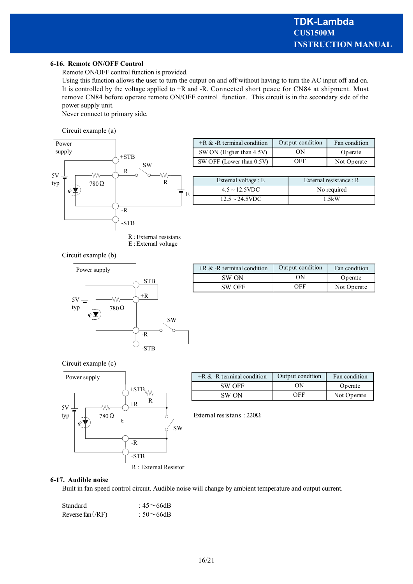#### **6-16. Remote ON/OFF Control**

Remote ON/OFF control function is provided.

Using this function allows the user to turn the output on and off without having to turn the AC input off and on. It is controlled by the voltage applied to +R and -R. Connected short peace for CN84 at shipment. Must remove CN84 before operate remote ON/OFF control function. This circuit is in the secondary side of the power supply unit.

Never connect to primary side.

Circuit example (a)



| $+R \& -R$ terminal condition | Output condition | Fan condition |
|-------------------------------|------------------|---------------|
| SW ON (Higher than 4.5V)      | OΝ               | Operate       |
| SW OFF (Lower than 0.5V)      | OFF              | Not Operate   |
|                               |                  |               |

| External voltage : E | External resistance: $R$ |  |
|----------------------|--------------------------|--|
| $4.5 \sim 12.5$ VDC  | No required              |  |
| $12.5 \sim 24.5$ VDC | 1.5kW                    |  |

Circuit example (b)



E : External voltage

| $+R \& -R$ terminal condition | Output condition | Fan condition |
|-------------------------------|------------------|---------------|
| SW ON                         | ON               | Operate       |
| SW OFF                        | OEE              | Not Operate   |

Circuit example (c)



| $+R \& -R$ terminal condition | Output condition | Fan condition |
|-------------------------------|------------------|---------------|
| SW OFF                        | ΩN               | Operate       |
| SW ON                         | OEE              | Not Operate   |

External resistans : 220Ω

#### **6-17. Audible noise**

Built in fan speed control circuit. Audible noise will change by ambient temperature and output current.

| Standard          | : $45 \sim 66$ dB |
|-------------------|-------------------|
| Reverse fan (/RF) | : 50 $\sim$ 66dB  |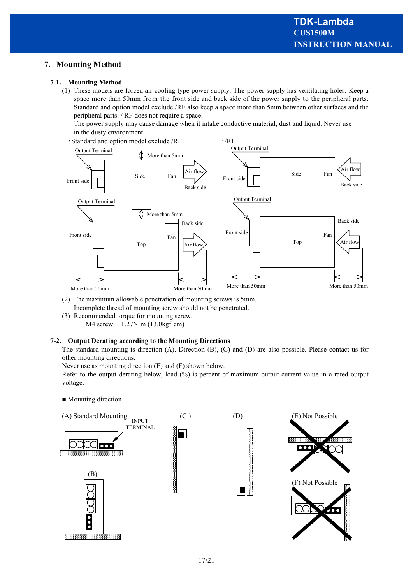# **7. Mounting Method**

#### **7-1. Mounting Method**

(1) These models are forced air cooling type power supply. The power supply has ventilating holes. Keep a space more than 50mm from the front side and back side of the power supply to the peripheral parts. Standard and option model exclude /RF also keep a space more than 5mm between other surfaces and the peripheral parts. / RF does not require a space.

The power supply may cause damage when it intake conductive material, dust and liquid. Never use in the dusty environment.

• Standard and option model exclude /RF • /RF



- (2) The maximum allowable penetration of mounting screws is 5mm. Incomplete thread of mounting screw should not be penetrated.
- (3) Recommended torque for mounting screw. M4 screw : 1.27N·m (13.0kgf·cm)

#### **7-2. Output Derating according to the Mounting Directions**

The standard mounting is direction (A). Direction (B), (C) and (D) are also possible. Please contact us for other mounting directions.

Never use as mounting direction (E) and (F) shown below.

Refer to the output derating below, load (%) is percent of maximum output current value in a rated output voltage.

■ Mounting direction

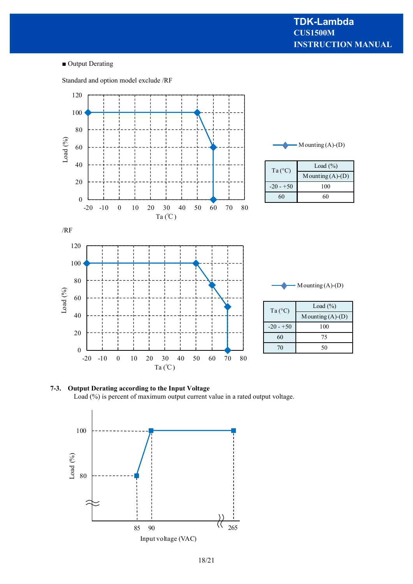■ Output Derating

Standard and option model exclude /RF



**7-3. Output Derating according to the Input Voltage** Load (%) is percent of maximum output current value in a rated output voltage.

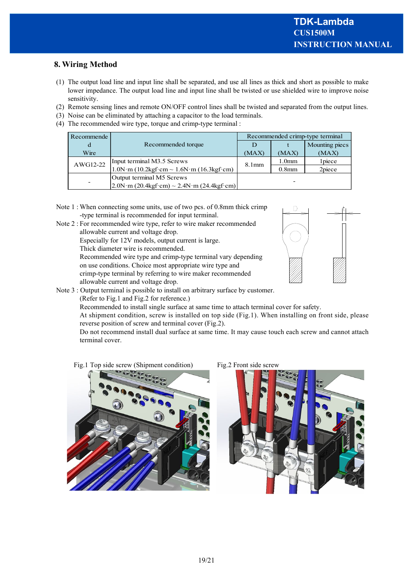# **8. Wiring Method**

- (1) The output load line and input line shall be separated, and use all lines as thick and short as possible to make lower impedance. The output load line and input line shall be twisted or use shielded wire to improve noise sensitivity.
- (2) Remote sensing lines and remote ON/OFF control lines shall be twisted and separated from the output lines.
- (3) Noise can be eliminated by attaching a capacitor to the load terminals.
- (4) The recommended wire type, torque and crimp-type terminal :

| Recommende |                                                                                                  | Recommended crimp-type terminal |                   |                |
|------------|--------------------------------------------------------------------------------------------------|---------------------------------|-------------------|----------------|
|            | Recommended torque                                                                               |                                 |                   | Mounting piecs |
| Wire       |                                                                                                  | (MAX)                           | (MAX)             | (MAX)          |
| AWG12-22   | Input terminal M3.5 Screws                                                                       | 8.1 <sub>mm</sub>               | 1.0 <sub>mm</sub> | 1 piece        |
|            | $1.0N \cdot m$ (10.2kgf $\cdot$ cm ~ 1.6N $\cdot m$ (16.3kgf $\cdot$ cm)                         |                                 | 0.8 <sub>mm</sub> | 2piece         |
|            | Output terminal M5 Screws                                                                        |                                 |                   |                |
| -          | $2.0N \cdot m (20.4\text{kgf}\cdot \text{cm}) \sim 2.4N \cdot m (24.4\text{kgf}\cdot \text{cm})$ |                                 |                   |                |

- Note 1 : When connecting some units, use of two pcs. of 0.8mm thick crimp -type terminal is recommended for input terminal.
- Note 2 : For recommended wire type, refer to wire maker recommended allowable current and voltage drop.
	- Especially for 12V models, output current is large.
	- Thick diameter wire is recommended.

Recommended wire type and crimp-type terminal vary depending on use conditions. Choice most appropriate wire type and crimp-type terminal by referring to wire maker recommended allowable current and voltage drop.



Note 3 : Output terminal is possible to install on arbitrary surface by customer.

(Refer to Fig.1 and Fig.2 for reference.)

Recommended to install single surface at same time to attach terminal cover for safety.

At shipment condition, screw is installed on top side (Fig.1). When installing on front side, please reverse position of screw and terminal cover (Fig.2).

Do not recommend install dual surface at same time. It may cause touch each screw and cannot attach terminal cover.

Fig.1 Top side screw (Shipment condition) Fig.2 Front side screw



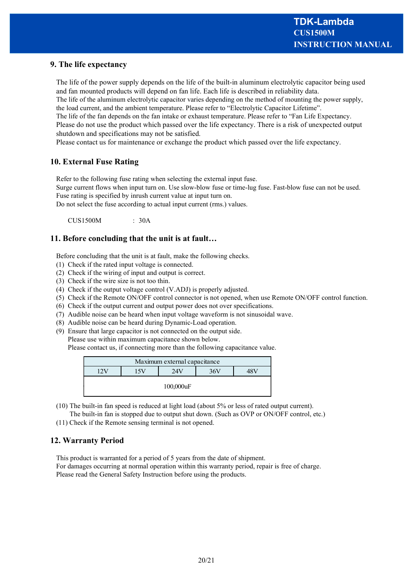# **9. The life expectancy**

The life of the power supply depends on the life of the built-in aluminum electrolytic capacitor being used and fan mounted products will depend on fan life. Each life is described in reliability data.

The life of the aluminum electrolytic capacitor varies depending on the method of mounting the power supply, the load current, and the ambient temperature. Please refer to "Electrolytic Capacitor Lifetime".

The life of the fan depends on the fan intake or exhaust temperature. Please refer to "Fan Life Expectancy. Please do not use the product which passed over the life expectancy. There is a risk of unexpected output shutdown and specifications may not be satisfied.

Please contact us for maintenance or exchange the product which passed over the life expectancy.

## **10. External Fuse Rating**

Refer to the following fuse rating when selecting the external input fuse.

Surge current flows when input turn on. Use slow-blow fuse or time-lug fuse. Fast-blow fuse can not be used. Fuse rating is specified by inrush current value at input turn on.

Do not select the fuse according to actual input current (rms.) values.

 $CIIS1500M$  : 30A

## **11. Before concluding that the unit is at fault…**

Before concluding that the unit is at fault, make the following checks.

- (1) Check if the rated input voltage is connected.
- (2) Check if the wiring of input and output is correct.
- (3) Check if the wire size is not too thin.
- (4) Check if the output voltage control (V.ADJ) is properly adjusted.
- (5) Check if the Remote ON/OFF control connector is not opened, when use Remote ON/OFF control function.
- (6) Check if the output current and output power does not over specifications.
- (7) Audible noise can be heard when input voltage waveform is not sinusoidal wave.
- (8) Audible noise can be heard during Dynamic-Load operation.
- (9) Ensure that large capacitor is not connected on the output side. Please use within maximum capacitance shown below.

Please contact us, if connecting more than the following capacitance value.

| Maximum external capacitance |  |  |  |  |  |
|------------------------------|--|--|--|--|--|
| 36V<br>74V                   |  |  |  |  |  |
| 100,000uF                    |  |  |  |  |  |

- (10) The built-in fan speed is reduced at light load (about 5% or less of rated output current).
- The built-in fan is stopped due to output shut down. (Such as OVP or ON/OFF control, etc.)
- (11) Check if the Remote sensing terminal is not opened.

# **12. Warranty Period**

This product is warranted for a period of 5 years from the date of shipment. For damages occurring at normal operation within this warranty period, repair is free of charge. Please read the General Safety Instruction before using the products.